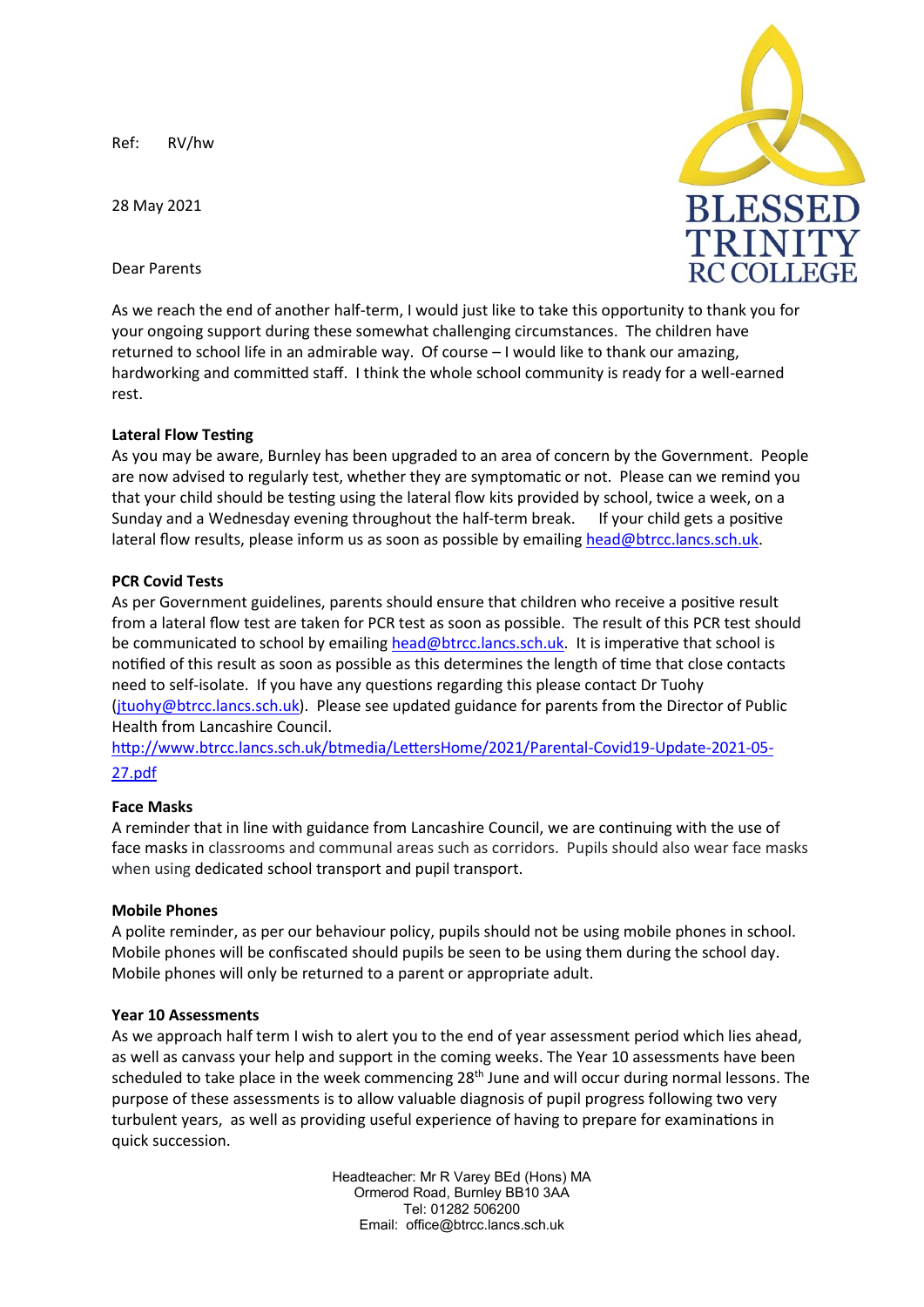Ref: RV/hw

28 May 2021

Dear Parents



As we reach the end of another half-term, I would just like to take this opportunity to thank you for your ongoing support during these somewhat challenging circumstances. The children have returned to school life in an admirable way. Of course – I would like to thank our amazing, hardworking and committed staff. I think the whole school community is ready for a well-earned rest.

# **Lateral Flow Testing**

As you may be aware, Burnley has been upgraded to an area of concern by the Government. People are now advised to regularly test, whether they are symptomatic or not. Please can we remind you that your child should be testing using the lateral flow kits provided by school, twice a week, on a Sunday and a Wednesday evening throughout the half-term break. If your child gets a positive lateral flow results, please inform us as soon as possible by emailin[g head@btrcc.lancs.sch.uk.](mailto:head@btrcc.lancs.sch.uk)

# **PCR Covid Tests**

As per Government guidelines, parents should ensure that children who receive a positive result from a lateral flow test are taken for PCR test as soon as possible. The result of this PCR test should be communicated to school by emailin[g head@btrcc.lancs.sch.uk.](mailto:head@btrcc.lancs.sch.uk) It is imperative that school is notified of this result as soon as possible as this determines the length of time that close contacts need to self-isolate. If you have any questions regarding this please contact Dr Tuohy [\(jtuohy@btrcc.lancs.sch.uk\)](mailto:jtuohy@btrcc.lancs.sch.uk). Please see updated guidance for parents from the Director of Public Health from Lancashire Council.

[http://www.btrcc.lancs.sch.uk/btmedia/LettersHome/2021/Parental-Covid19-Update-2021-05-](http://www.btrcc.lancs.sch.uk/btmedia/LettersHome/2021/Parental-Covid19-Update-2021-05-27.pdf) [27.pdf](http://www.btrcc.lancs.sch.uk/btmedia/LettersHome/2021/Parental-Covid19-Update-2021-05-27.pdf)

# **Face Masks**

A reminder that in line with guidance from Lancashire Council, we are continuing with the use of face masks in classrooms and communal areas such as corridors. Pupils should also wear face masks when using dedicated school transport and pupil transport.

# **Mobile Phones**

A polite reminder, as per our behaviour policy, pupils should not be using mobile phones in school. Mobile phones will be confiscated should pupils be seen to be using them during the school day. Mobile phones will only be returned to a parent or appropriate adult.

# **Year 10 Assessments**

As we approach half term I wish to alert you to the end of year assessment period which lies ahead, as well as canvass your help and support in the coming weeks. The Year 10 assessments have been scheduled to take place in the week commencing 28<sup>th</sup> June and will occur during normal lessons. The purpose of these assessments is to allow valuable diagnosis of pupil progress following two very turbulent years, as well as providing useful experience of having to prepare for examinations in quick succession.

> Headteacher: Mr R Varey BEd (Hons) MA Ormerod Road, Burnley BB10 3AA Tel: 01282 506200 Email: office@btrcc.lancs.sch.uk